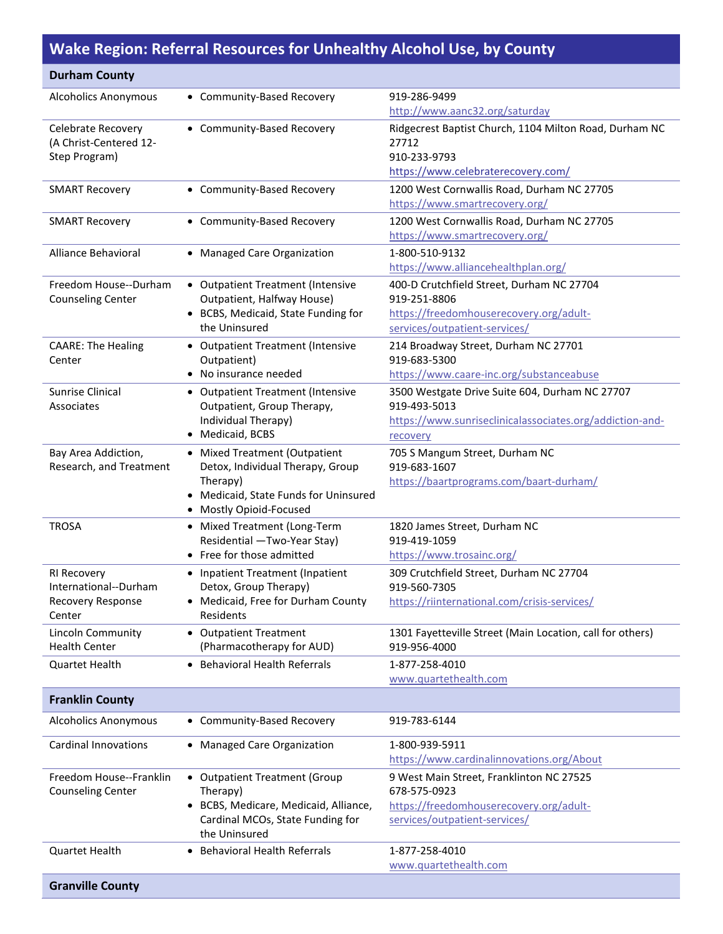## **Wake Region: Referral Resources for Unhealthy Alcohol Use, by County**

| <b>Durham County</b>                           |                                                                   |                                                                              |
|------------------------------------------------|-------------------------------------------------------------------|------------------------------------------------------------------------------|
| <b>Alcoholics Anonymous</b>                    | • Community-Based Recovery                                        | 919-286-9499                                                                 |
|                                                |                                                                   | http://www.aanc32.org/saturday                                               |
| Celebrate Recovery                             | • Community-Based Recovery                                        | Ridgecrest Baptist Church, 1104 Milton Road, Durham NC                       |
| (A Christ-Centered 12-                         |                                                                   | 27712                                                                        |
| Step Program)                                  |                                                                   | 910-233-9793                                                                 |
|                                                |                                                                   | https://www.celebraterecovery.com/                                           |
| <b>SMART Recovery</b>                          | • Community-Based Recovery                                        | 1200 West Cornwallis Road, Durham NC 27705                                   |
|                                                |                                                                   | https://www.smartrecovery.org/                                               |
| <b>SMART Recovery</b>                          | • Community-Based Recovery                                        | 1200 West Cornwallis Road, Durham NC 27705<br>https://www.smartrecovery.org/ |
|                                                |                                                                   | 1-800-510-9132                                                               |
| Alliance Behavioral                            | • Managed Care Organization                                       | https://www.alliancehealthplan.org/                                          |
| Freedom House--Durham                          | • Outpatient Treatment (Intensive                                 | 400-D Crutchfield Street, Durham NC 27704                                    |
| <b>Counseling Center</b>                       | Outpatient, Halfway House)                                        | 919-251-8806                                                                 |
|                                                | • BCBS, Medicaid, State Funding for                               | https://freedomhouserecovery.org/adult-                                      |
|                                                | the Uninsured                                                     | services/outpatient-services/                                                |
| <b>CAARE: The Healing</b>                      | • Outpatient Treatment (Intensive                                 | 214 Broadway Street, Durham NC 27701                                         |
| Center                                         | Outpatient)                                                       | 919-683-5300                                                                 |
|                                                | • No insurance needed                                             | https://www.caare-inc.org/substanceabuse                                     |
| Sunrise Clinical                               | • Outpatient Treatment (Intensive                                 | 3500 Westgate Drive Suite 604, Durham NC 27707                               |
| Associates                                     | Outpatient, Group Therapy,                                        | 919-493-5013                                                                 |
|                                                | Individual Therapy)<br>• Medicaid, BCBS                           | https://www.sunriseclinicalassociates.org/addiction-and-                     |
|                                                |                                                                   | recovery                                                                     |
| Bay Area Addiction,<br>Research, and Treatment | • Mixed Treatment (Outpatient<br>Detox, Individual Therapy, Group | 705 S Mangum Street, Durham NC<br>919-683-1607                               |
|                                                | Therapy)                                                          | https://baartprograms.com/baart-durham/                                      |
|                                                | Medicaid, State Funds for Uninsured<br>٠                          |                                                                              |
|                                                | • Mostly Opioid-Focused                                           |                                                                              |
| <b>TROSA</b>                                   | • Mixed Treatment (Long-Term                                      | 1820 James Street, Durham NC                                                 |
|                                                | Residential -Two-Year Stay)                                       | 919-419-1059                                                                 |
|                                                | • Free for those admitted                                         | https://www.trosainc.org/                                                    |
| RI Recovery                                    | • Inpatient Treatment (Inpatient                                  | 309 Crutchfield Street, Durham NC 27704                                      |
| International--Durham<br>Recovery Response     | Detox, Group Therapy)<br>• Medicaid, Free for Durham County       | 919-560-7305<br>https://riinternational.com/crisis-services/                 |
| Center                                         | Residents                                                         |                                                                              |
| Lincoln Community                              | • Outpatient Treatment                                            | 1301 Fayetteville Street (Main Location, call for others)                    |
| <b>Health Center</b>                           | (Pharmacotherapy for AUD)                                         | 919-956-4000                                                                 |
| <b>Quartet Health</b>                          | <b>Behavioral Health Referrals</b><br>$\bullet$                   | 1-877-258-4010                                                               |
|                                                |                                                                   | www.quartethealth.com                                                        |
| <b>Franklin County</b>                         |                                                                   |                                                                              |
| <b>Alcoholics Anonymous</b>                    | • Community-Based Recovery                                        | 919-783-6144                                                                 |
| <b>Cardinal Innovations</b>                    | • Managed Care Organization                                       | 1-800-939-5911                                                               |
|                                                |                                                                   | https://www.cardinalinnovations.org/About                                    |
| Freedom House--Franklin                        | • Outpatient Treatment (Group                                     | 9 West Main Street, Franklinton NC 27525                                     |
| <b>Counseling Center</b>                       | Therapy)                                                          | 678-575-0923                                                                 |
|                                                | BCBS, Medicare, Medicaid, Alliance,<br>$\bullet$                  | https://freedomhouserecovery.org/adult-                                      |
|                                                | Cardinal MCOs, State Funding for<br>the Uninsured                 | services/outpatient-services/                                                |
| Quartet Health                                 | <b>Behavioral Health Referrals</b>                                | 1-877-258-4010                                                               |
|                                                |                                                                   | www.quartethealth.com                                                        |
| <b>Granville County</b>                        |                                                                   |                                                                              |
|                                                |                                                                   |                                                                              |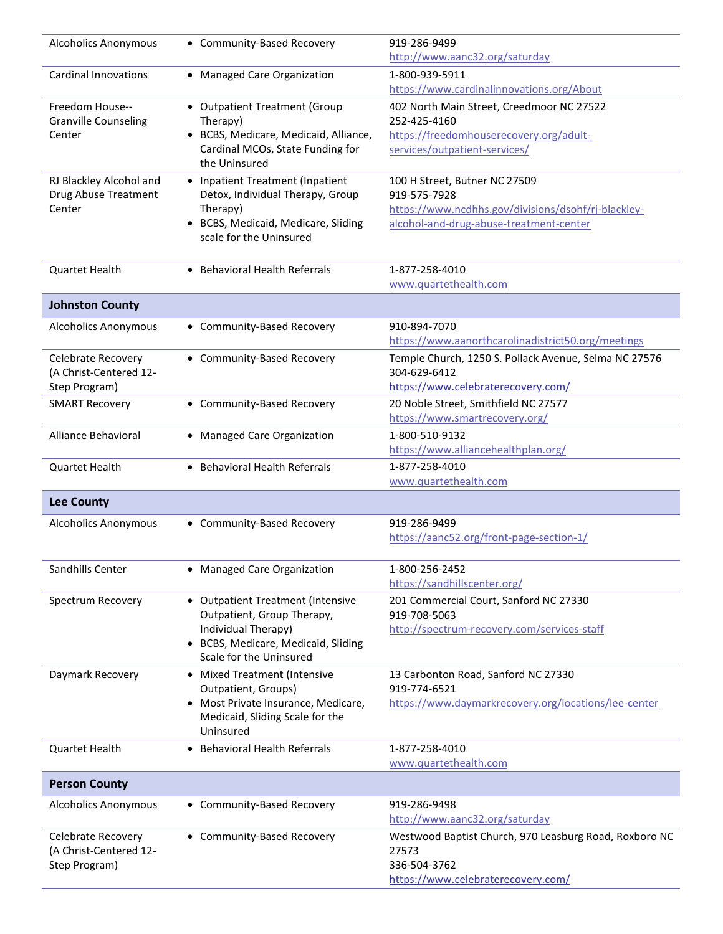| <b>Alcoholics Anonymous</b>                  | • Community-Based Recovery                                     | 919-286-9499<br>http://www.aanc32.org/saturday                         |
|----------------------------------------------|----------------------------------------------------------------|------------------------------------------------------------------------|
| <b>Cardinal Innovations</b>                  | • Managed Care Organization                                    | 1-800-939-5911                                                         |
|                                              |                                                                | https://www.cardinalinnovations.org/About                              |
| Freedom House--                              | • Outpatient Treatment (Group                                  | 402 North Main Street, Creedmoor NC 27522                              |
| <b>Granville Counseling</b>                  | Therapy)                                                       | 252-425-4160                                                           |
| Center                                       | • BCBS, Medicare, Medicaid, Alliance,                          | https://freedomhouserecovery.org/adult-                                |
|                                              | Cardinal MCOs, State Funding for<br>the Uninsured              | services/outpatient-services/                                          |
| RJ Blackley Alcohol and                      | • Inpatient Treatment (Inpatient                               | 100 H Street, Butner NC 27509                                          |
| Drug Abuse Treatment                         | Detox, Individual Therapy, Group                               | 919-575-7928                                                           |
| Center                                       | Therapy)                                                       | https://www.ncdhhs.gov/divisions/dsohf/rj-blackley-                    |
|                                              | • BCBS, Medicaid, Medicare, Sliding<br>scale for the Uninsured | alcohol-and-drug-abuse-treatment-center                                |
| <b>Quartet Health</b>                        | • Behavioral Health Referrals                                  | 1-877-258-4010                                                         |
|                                              |                                                                | www.quartethealth.com                                                  |
| <b>Johnston County</b>                       |                                                                |                                                                        |
| <b>Alcoholics Anonymous</b>                  | • Community-Based Recovery                                     | 910-894-7070                                                           |
|                                              |                                                                | https://www.aanorthcarolinadistrict50.org/meetings                     |
| Celebrate Recovery<br>(A Christ-Centered 12- | • Community-Based Recovery                                     | Temple Church, 1250 S. Pollack Avenue, Selma NC 27576<br>304-629-6412  |
| Step Program)                                |                                                                | https://www.celebraterecovery.com/                                     |
| <b>SMART Recovery</b>                        | • Community-Based Recovery                                     | 20 Noble Street, Smithfield NC 27577<br>https://www.smartrecovery.org/ |
| Alliance Behavioral                          | • Managed Care Organization                                    | 1-800-510-9132                                                         |
|                                              |                                                                | https://www.alliancehealthplan.org/                                    |
| <b>Quartet Health</b>                        | • Behavioral Health Referrals                                  | 1-877-258-4010                                                         |
|                                              |                                                                | www.quartethealth.com                                                  |
| <b>Lee County</b>                            |                                                                |                                                                        |
| <b>Alcoholics Anonymous</b>                  | • Community-Based Recovery                                     | 919-286-9499                                                           |
|                                              |                                                                | https://aanc52.org/front-page-section-1/                               |
| Sandhills Center                             | • Managed Care Organization                                    | 1-800-256-2452                                                         |
|                                              |                                                                | https://sandhillscenter.org/                                           |
| Spectrum Recovery                            | • Outpatient Treatment (Intensive                              | 201 Commercial Court, Sanford NC 27330                                 |
|                                              | Outpatient, Group Therapy,                                     | 919-708-5063                                                           |
|                                              | Individual Therapy)<br>• BCBS, Medicare, Medicaid, Sliding     | http://spectrum-recovery.com/services-staff                            |
|                                              | Scale for the Uninsured                                        |                                                                        |
| Daymark Recovery                             | • Mixed Treatment (Intensive                                   | 13 Carbonton Road, Sanford NC 27330                                    |
|                                              | Outpatient, Groups)                                            | 919-774-6521                                                           |
|                                              | • Most Private Insurance, Medicare,                            | https://www.daymarkrecovery.org/locations/lee-center                   |
|                                              | Medicaid, Sliding Scale for the<br>Uninsured                   |                                                                        |
| <b>Quartet Health</b>                        | • Behavioral Health Referrals                                  | 1-877-258-4010                                                         |
|                                              |                                                                | www.quartethealth.com                                                  |
| <b>Person County</b>                         |                                                                |                                                                        |
| <b>Alcoholics Anonymous</b>                  | • Community-Based Recovery                                     | 919-286-9498<br>http://www.aanc32.org/saturday                         |
|                                              | • Community-Based Recovery                                     | Westwood Baptist Church, 970 Leasburg Road, Roxboro NC                 |
| Celebrate Recovery<br>(A Christ-Centered 12- |                                                                | 27573                                                                  |
| Step Program)                                |                                                                | 336-504-3762                                                           |
|                                              |                                                                | https://www.celebraterecovery.com/                                     |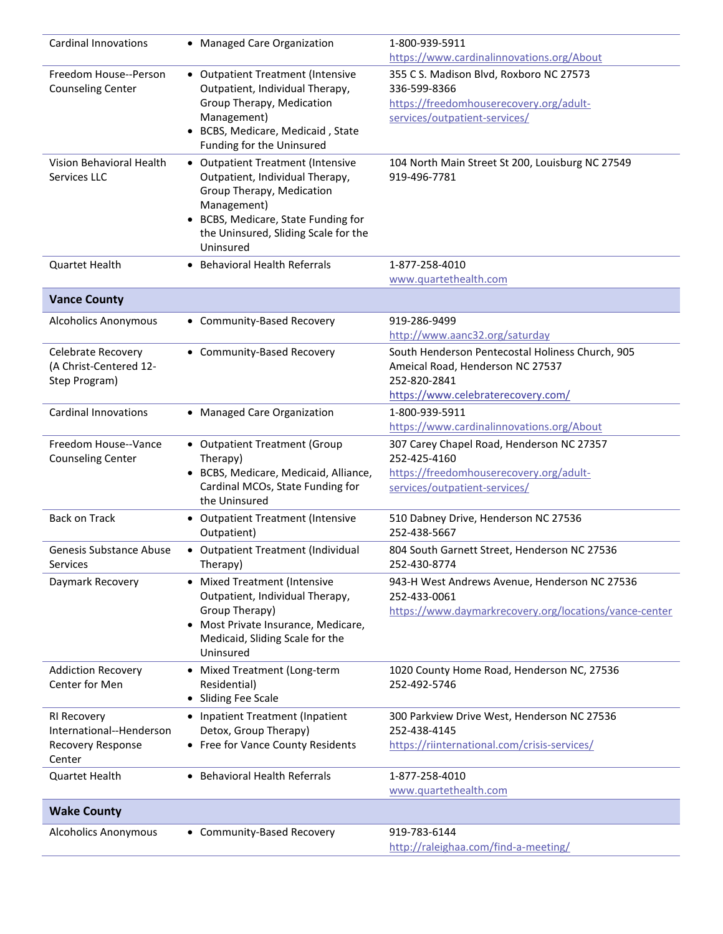| <b>Cardinal Innovations</b> | • Managed Care Organization           | 1-800-939-5911                                         |
|-----------------------------|---------------------------------------|--------------------------------------------------------|
|                             |                                       | https://www.cardinalinnovations.org/About              |
| Freedom House--Person       | • Outpatient Treatment (Intensive     | 355 C S. Madison Blvd, Roxboro NC 27573                |
| <b>Counseling Center</b>    | Outpatient, Individual Therapy,       | 336-599-8366                                           |
|                             | Group Therapy, Medication             | https://freedomhouserecovery.org/adult-                |
|                             | Management)                           | services/outpatient-services/                          |
|                             | • BCBS, Medicare, Medicaid, State     |                                                        |
|                             | Funding for the Uninsured             |                                                        |
| Vision Behavioral Health    | • Outpatient Treatment (Intensive     | 104 North Main Street St 200, Louisburg NC 27549       |
| Services LLC                | Outpatient, Individual Therapy,       | 919-496-7781                                           |
|                             | Group Therapy, Medication             |                                                        |
|                             | Management)                           |                                                        |
|                             | • BCBS, Medicare, State Funding for   |                                                        |
|                             | the Uninsured, Sliding Scale for the  |                                                        |
|                             | Uninsured                             |                                                        |
| Quartet Health              | • Behavioral Health Referrals         | 1-877-258-4010                                         |
|                             |                                       | www.quartethealth.com                                  |
| <b>Vance County</b>         |                                       |                                                        |
| <b>Alcoholics Anonymous</b> | • Community-Based Recovery            | 919-286-9499                                           |
|                             |                                       | http://www.aanc32.org/saturday                         |
| Celebrate Recovery          | • Community-Based Recovery            | South Henderson Pentecostal Holiness Church, 905       |
| (A Christ-Centered 12-      |                                       | Ameical Road, Henderson NC 27537                       |
| Step Program)               |                                       | 252-820-2841                                           |
|                             |                                       | https://www.celebraterecovery.com/                     |
| <b>Cardinal Innovations</b> | • Managed Care Organization           | 1-800-939-5911                                         |
|                             |                                       | https://www.cardinalinnovations.org/About              |
| Freedom House--Vance        | • Outpatient Treatment (Group         | 307 Carey Chapel Road, Henderson NC 27357              |
| <b>Counseling Center</b>    | Therapy)                              | 252-425-4160                                           |
|                             | • BCBS, Medicare, Medicaid, Alliance, | https://freedomhouserecovery.org/adult-                |
|                             | Cardinal MCOs, State Funding for      | services/outpatient-services/                          |
|                             | the Uninsured                         |                                                        |
| <b>Back on Track</b>        | • Outpatient Treatment (Intensive     | 510 Dabney Drive, Henderson NC 27536                   |
|                             | Outpatient)                           | 252-438-5667                                           |
| Genesis Substance Abuse     | • Outpatient Treatment (Individual    | 804 South Garnett Street, Henderson NC 27536           |
| Services                    | Therapy)                              | 252-430-8774                                           |
| Daymark Recovery            | • Mixed Treatment (Intensive          | 943-H West Andrews Avenue, Henderson NC 27536          |
|                             | Outpatient, Individual Therapy,       | 252-433-0061                                           |
|                             | Group Therapy)                        | https://www.daymarkrecovery.org/locations/vance-center |
|                             | • Most Private Insurance, Medicare,   |                                                        |
|                             | Medicaid, Sliding Scale for the       |                                                        |
|                             | Uninsured                             |                                                        |
| <b>Addiction Recovery</b>   | • Mixed Treatment (Long-term          | 1020 County Home Road, Henderson NC, 27536             |
| Center for Men              | Residential)                          | 252-492-5746                                           |
|                             | • Sliding Fee Scale                   |                                                        |
| RI Recovery                 | • Inpatient Treatment (Inpatient      | 300 Parkview Drive West, Henderson NC 27536            |
| International--Henderson    | Detox, Group Therapy)                 | 252-438-4145                                           |
| Recovery Response           | • Free for Vance County Residents     | https://riinternational.com/crisis-services/           |
| Center                      |                                       |                                                        |
| Quartet Health              | • Behavioral Health Referrals         | 1-877-258-4010                                         |
|                             |                                       | www.quartethealth.com                                  |
| <b>Wake County</b>          |                                       |                                                        |
| <b>Alcoholics Anonymous</b> | • Community-Based Recovery            | 919-783-6144                                           |
|                             |                                       | http://raleighaa.com/find-a-meeting/                   |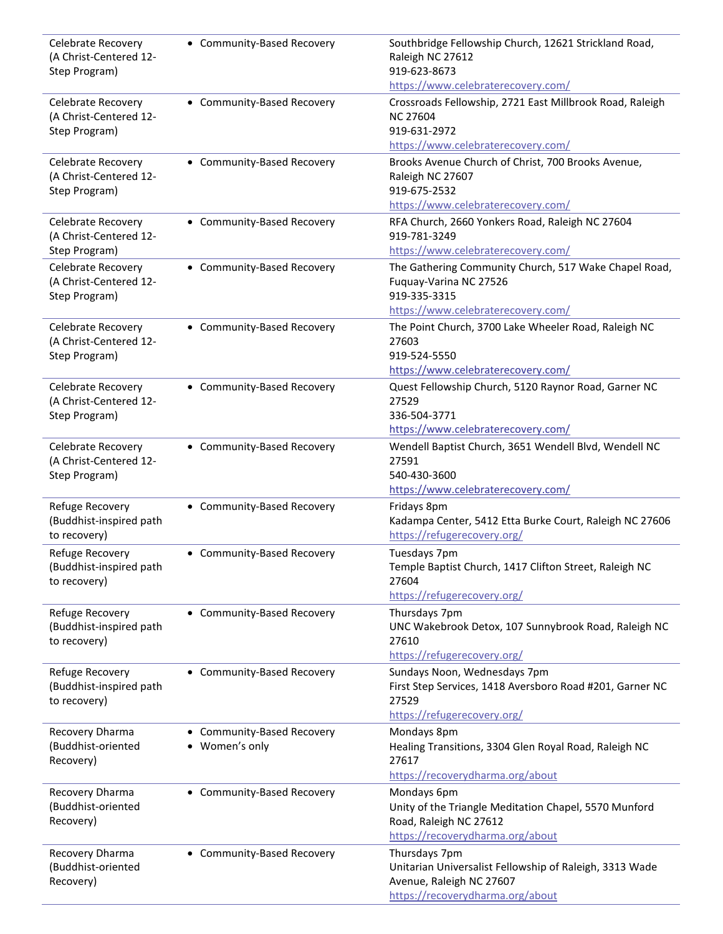| Celebrate Recovery<br>(A Christ-Centered 12-<br>Step Program)        | • Community-Based Recovery                              | Southbridge Fellowship Church, 12621 Strickland Road,<br>Raleigh NC 27612<br>919-623-8673<br>https://www.celebraterecovery.com/          |
|----------------------------------------------------------------------|---------------------------------------------------------|------------------------------------------------------------------------------------------------------------------------------------------|
| Celebrate Recovery<br>(A Christ-Centered 12-<br>Step Program)        | • Community-Based Recovery                              | Crossroads Fellowship, 2721 East Millbrook Road, Raleigh<br><b>NC 27604</b><br>919-631-2972<br>https://www.celebraterecovery.com/        |
| Celebrate Recovery<br>(A Christ-Centered 12-<br>Step Program)        | • Community-Based Recovery                              | Brooks Avenue Church of Christ, 700 Brooks Avenue,<br>Raleigh NC 27607<br>919-675-2532<br>https://www.celebraterecovery.com/             |
| Celebrate Recovery<br>(A Christ-Centered 12-<br>Step Program)        | • Community-Based Recovery                              | RFA Church, 2660 Yonkers Road, Raleigh NC 27604<br>919-781-3249<br>https://www.celebraterecovery.com/                                    |
| <b>Celebrate Recovery</b><br>(A Christ-Centered 12-<br>Step Program) | • Community-Based Recovery                              | The Gathering Community Church, 517 Wake Chapel Road,<br>Fuquay-Varina NC 27526<br>919-335-3315<br>https://www.celebraterecovery.com/    |
| Celebrate Recovery<br>(A Christ-Centered 12-<br>Step Program)        | • Community-Based Recovery                              | The Point Church, 3700 Lake Wheeler Road, Raleigh NC<br>27603<br>919-524-5550<br>https://www.celebraterecovery.com/                      |
| Celebrate Recovery<br>(A Christ-Centered 12-<br>Step Program)        | • Community-Based Recovery                              | Quest Fellowship Church, 5120 Raynor Road, Garner NC<br>27529<br>336-504-3771<br>https://www.celebraterecovery.com/                      |
| Celebrate Recovery<br>(A Christ-Centered 12-<br>Step Program)        | • Community-Based Recovery                              | Wendell Baptist Church, 3651 Wendell Blvd, Wendell NC<br>27591<br>540-430-3600<br>https://www.celebraterecovery.com/                     |
| Refuge Recovery<br>(Buddhist-inspired path<br>to recovery)           | • Community-Based Recovery                              | Fridays 8pm<br>Kadampa Center, 5412 Etta Burke Court, Raleigh NC 27606<br>https://refugerecovery.org/                                    |
| Refuge Recovery<br>(Buddhist-inspired path<br>to recovery)           | • Community-Based Recovery                              | Tuesdays 7pm<br>Temple Baptist Church, 1417 Clifton Street, Raleigh NC<br>27604<br>https://refugerecovery.org/                           |
| Refuge Recovery<br>(Buddhist-inspired path<br>to recovery)           | • Community-Based Recovery                              | Thursdays 7pm<br>UNC Wakebrook Detox, 107 Sunnybrook Road, Raleigh NC<br>27610<br>https://refugerecovery.org/                            |
| Refuge Recovery<br>(Buddhist-inspired path<br>to recovery)           | • Community-Based Recovery                              | Sundays Noon, Wednesdays 7pm<br>First Step Services, 1418 Aversboro Road #201, Garner NC<br>27529<br>https://refugerecovery.org/         |
| Recovery Dharma<br>(Buddhist-oriented<br>Recovery)                   | • Community-Based Recovery<br>Women's only<br>$\bullet$ | Mondays 8pm<br>Healing Transitions, 3304 Glen Royal Road, Raleigh NC<br>27617<br>https://recoverydharma.org/about                        |
| Recovery Dharma<br>(Buddhist-oriented<br>Recovery)                   | • Community-Based Recovery                              | Mondays 6pm<br>Unity of the Triangle Meditation Chapel, 5570 Munford<br>Road, Raleigh NC 27612<br>https://recoverydharma.org/about       |
| Recovery Dharma<br>(Buddhist-oriented<br>Recovery)                   | • Community-Based Recovery                              | Thursdays 7pm<br>Unitarian Universalist Fellowship of Raleigh, 3313 Wade<br>Avenue, Raleigh NC 27607<br>https://recoverydharma.org/about |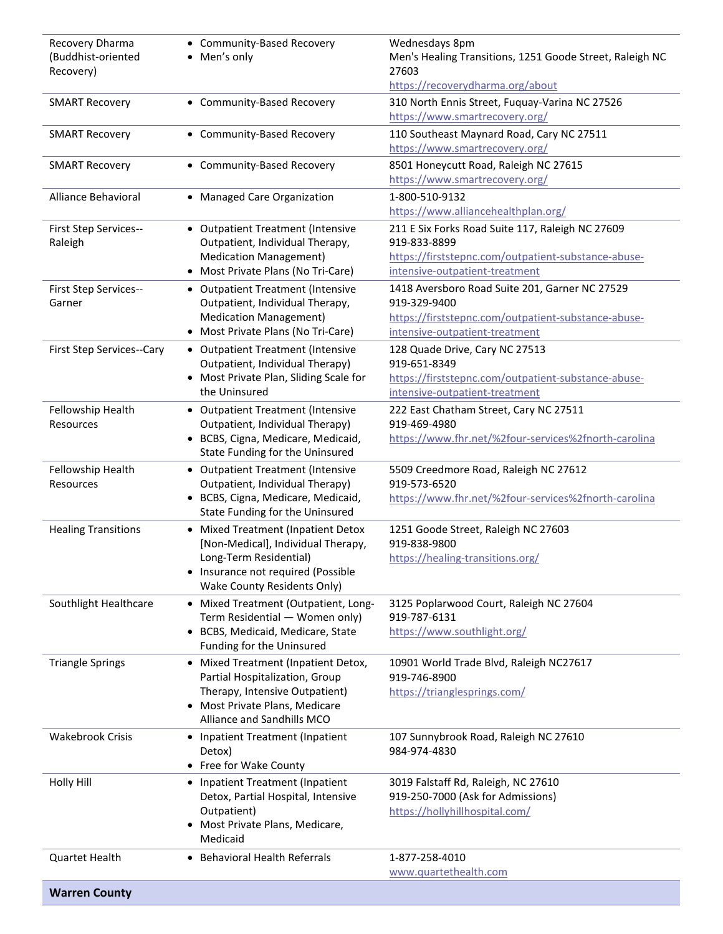| Recovery Dharma<br>(Buddhist-oriented<br>Recovery) | • Community-Based Recovery<br>• Men's only                                                                                                                                         | Wednesdays 8pm<br>Men's Healing Transitions, 1251 Goode Street, Raleigh NC<br>27603                                                                       |
|----------------------------------------------------|------------------------------------------------------------------------------------------------------------------------------------------------------------------------------------|-----------------------------------------------------------------------------------------------------------------------------------------------------------|
|                                                    |                                                                                                                                                                                    | https://recoverydharma.org/about                                                                                                                          |
| <b>SMART Recovery</b>                              | • Community-Based Recovery                                                                                                                                                         | 310 North Ennis Street, Fuquay-Varina NC 27526<br>https://www.smartrecovery.org/                                                                          |
| <b>SMART Recovery</b>                              | • Community-Based Recovery                                                                                                                                                         | 110 Southeast Maynard Road, Cary NC 27511<br>https://www.smartrecovery.org/                                                                               |
| <b>SMART Recovery</b>                              | • Community-Based Recovery                                                                                                                                                         | 8501 Honeycutt Road, Raleigh NC 27615<br>https://www.smartrecovery.org/                                                                                   |
| Alliance Behavioral                                | • Managed Care Organization                                                                                                                                                        | 1-800-510-9132<br>https://www.alliancehealthplan.org/                                                                                                     |
| First Step Services--<br>Raleigh                   | • Outpatient Treatment (Intensive<br>Outpatient, Individual Therapy,<br><b>Medication Management)</b><br>• Most Private Plans (No Tri-Care)                                        | 211 E Six Forks Road Suite 117, Raleigh NC 27609<br>919-833-8899<br>https://firststepnc.com/outpatient-substance-abuse-<br>intensive-outpatient-treatment |
| First Step Services--<br>Garner                    | • Outpatient Treatment (Intensive<br>Outpatient, Individual Therapy,<br><b>Medication Management)</b><br>• Most Private Plans (No Tri-Care)                                        | 1418 Aversboro Road Suite 201, Garner NC 27529<br>919-329-9400<br>https://firststepnc.com/outpatient-substance-abuse-<br>intensive-outpatient-treatment   |
| First Step Services--Cary                          | • Outpatient Treatment (Intensive<br>Outpatient, Individual Therapy)<br>• Most Private Plan, Sliding Scale for<br>the Uninsured                                                    | 128 Quade Drive, Cary NC 27513<br>919-651-8349<br>https://firststepnc.com/outpatient-substance-abuse-<br>intensive-outpatient-treatment                   |
| Fellowship Health<br>Resources                     | • Outpatient Treatment (Intensive<br>Outpatient, Individual Therapy)<br>· BCBS, Cigna, Medicare, Medicaid,<br>State Funding for the Uninsured                                      | 222 East Chatham Street, Cary NC 27511<br>919-469-4980<br>https://www.fhr.net/%2four-services%2fnorth-carolina                                            |
| Fellowship Health<br>Resources                     | • Outpatient Treatment (Intensive<br>Outpatient, Individual Therapy)<br>• BCBS, Cigna, Medicare, Medicaid,<br>State Funding for the Uninsured                                      | 5509 Creedmore Road, Raleigh NC 27612<br>919-573-6520<br>https://www.fhr.net/%2four-services%2fnorth-carolina                                             |
| <b>Healing Transitions</b>                         | • Mixed Treatment (Inpatient Detox<br>[Non-Medical], Individual Therapy,<br>Long-Term Residential)<br>• Insurance not required (Possible<br><b>Wake County Residents Only)</b>     | 1251 Goode Street, Raleigh NC 27603<br>919-838-9800<br>https://healing-transitions.org/                                                                   |
| Southlight Healthcare                              | • Mixed Treatment (Outpatient, Long-<br>Term Residential - Women only)<br>• BCBS, Medicaid, Medicare, State<br>Funding for the Uninsured                                           | 3125 Poplarwood Court, Raleigh NC 27604<br>919-787-6131<br>https://www.southlight.org/                                                                    |
| <b>Triangle Springs</b>                            | • Mixed Treatment (Inpatient Detox,<br>Partial Hospitalization, Group<br>Therapy, Intensive Outpatient)<br>Most Private Plans, Medicare<br>$\bullet$<br>Alliance and Sandhills MCO | 10901 World Trade Blvd, Raleigh NC27617<br>919-746-8900<br>https://trianglesprings.com/                                                                   |
| <b>Wakebrook Crisis</b>                            | • Inpatient Treatment (Inpatient<br>Detox)<br>• Free for Wake County                                                                                                               | 107 Sunnybrook Road, Raleigh NC 27610<br>984-974-4830                                                                                                     |
| <b>Holly Hill</b>                                  | • Inpatient Treatment (Inpatient<br>Detox, Partial Hospital, Intensive<br>Outpatient)<br>• Most Private Plans, Medicare,<br>Medicaid                                               | 3019 Falstaff Rd, Raleigh, NC 27610<br>919-250-7000 (Ask for Admissions)<br>https://hollyhillhospital.com/                                                |
| <b>Quartet Health</b>                              | <b>Behavioral Health Referrals</b><br>$\bullet$                                                                                                                                    | 1-877-258-4010<br>www.quartethealth.com                                                                                                                   |
| <b>Warren County</b>                               |                                                                                                                                                                                    |                                                                                                                                                           |